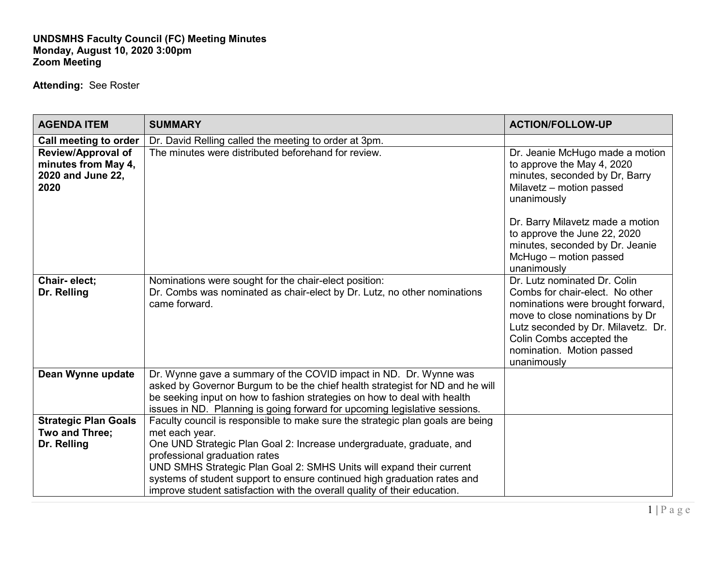## **UNDSMHS Faculty Council (FC) Meeting Minutes Monday, August 10, 2020 3:00pm Zoom Meeting**

**Attending:** See Roster

| <b>SUMMARY</b>                                                                                                                                                                                                                 | <b>ACTION/FOLLOW-UP</b>                                                                                                                                                                                                                                                                                                                      |
|--------------------------------------------------------------------------------------------------------------------------------------------------------------------------------------------------------------------------------|----------------------------------------------------------------------------------------------------------------------------------------------------------------------------------------------------------------------------------------------------------------------------------------------------------------------------------------------|
| Dr. David Relling called the meeting to order at 3pm.                                                                                                                                                                          |                                                                                                                                                                                                                                                                                                                                              |
| The minutes were distributed beforehand for review.                                                                                                                                                                            | Dr. Jeanie McHugo made a motion<br>to approve the May 4, 2020<br>minutes, seconded by Dr, Barry<br>Milavetz - motion passed<br>unanimously                                                                                                                                                                                                   |
|                                                                                                                                                                                                                                | Dr. Barry Milavetz made a motion<br>to approve the June 22, 2020<br>minutes, seconded by Dr. Jeanie<br>McHugo - motion passed<br>unanimously                                                                                                                                                                                                 |
| Nominations were sought for the chair-elect position:<br>Dr. Combs was nominated as chair-elect by Dr. Lutz, no other nominations<br>came forward.                                                                             | Dr. Lutz nominated Dr. Colin<br>Combs for chair-elect. No other<br>nominations were brought forward,<br>move to close nominations by Dr<br>Lutz seconded by Dr. Milavetz. Dr.<br>Colin Combs accepted the<br>nomination. Motion passed<br>unanimously                                                                                        |
| Dr. Wynne gave a summary of the COVID impact in ND. Dr. Wynne was<br>asked by Governor Burgum to be the chief health strategist for ND and he will<br>be seeking input on how to fashion strategies on how to deal with health |                                                                                                                                                                                                                                                                                                                                              |
| Faculty council is responsible to make sure the strategic plan goals are being                                                                                                                                                 |                                                                                                                                                                                                                                                                                                                                              |
| met each year.                                                                                                                                                                                                                 |                                                                                                                                                                                                                                                                                                                                              |
| One UND Strategic Plan Goal 2: Increase undergraduate, graduate, and                                                                                                                                                           |                                                                                                                                                                                                                                                                                                                                              |
|                                                                                                                                                                                                                                |                                                                                                                                                                                                                                                                                                                                              |
|                                                                                                                                                                                                                                |                                                                                                                                                                                                                                                                                                                                              |
|                                                                                                                                                                                                                                |                                                                                                                                                                                                                                                                                                                                              |
|                                                                                                                                                                                                                                | issues in ND. Planning is going forward for upcoming legislative sessions.<br>professional graduation rates<br>UND SMHS Strategic Plan Goal 2: SMHS Units will expand their current<br>systems of student support to ensure continued high graduation rates and<br>improve student satisfaction with the overall quality of their education. |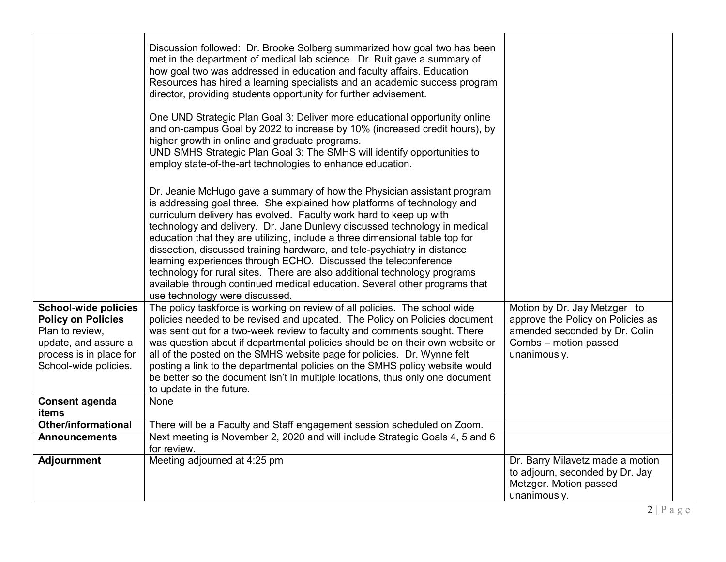|                                                                                                                                                         | Discussion followed: Dr. Brooke Solberg summarized how goal two has been<br>met in the department of medical lab science. Dr. Ruit gave a summary of<br>how goal two was addressed in education and faculty affairs. Education<br>Resources has hired a learning specialists and an academic success program<br>director, providing students opportunity for further advisement.<br>One UND Strategic Plan Goal 3: Deliver more educational opportunity online<br>and on-campus Goal by 2022 to increase by 10% (increased credit hours), by<br>higher growth in online and graduate programs.<br>UND SMHS Strategic Plan Goal 3: The SMHS will identify opportunities to<br>employ state-of-the-art technologies to enhance education.<br>Dr. Jeanie McHugo gave a summary of how the Physician assistant program<br>is addressing goal three. She explained how platforms of technology and<br>curriculum delivery has evolved. Faculty work hard to keep up with<br>technology and delivery. Dr. Jane Dunlevy discussed technology in medical<br>education that they are utilizing, include a three dimensional table top for<br>dissection, discussed training hardware, and tele-psychiatry in distance<br>learning experiences through ECHO. Discussed the teleconference<br>technology for rural sites. There are also additional technology programs |                                                                                                                                             |
|---------------------------------------------------------------------------------------------------------------------------------------------------------|--------------------------------------------------------------------------------------------------------------------------------------------------------------------------------------------------------------------------------------------------------------------------------------------------------------------------------------------------------------------------------------------------------------------------------------------------------------------------------------------------------------------------------------------------------------------------------------------------------------------------------------------------------------------------------------------------------------------------------------------------------------------------------------------------------------------------------------------------------------------------------------------------------------------------------------------------------------------------------------------------------------------------------------------------------------------------------------------------------------------------------------------------------------------------------------------------------------------------------------------------------------------------------------------------------------------------------------------------------------|---------------------------------------------------------------------------------------------------------------------------------------------|
|                                                                                                                                                         | available through continued medical education. Several other programs that<br>use technology were discussed.                                                                                                                                                                                                                                                                                                                                                                                                                                                                                                                                                                                                                                                                                                                                                                                                                                                                                                                                                                                                                                                                                                                                                                                                                                                 |                                                                                                                                             |
| <b>School-wide policies</b><br><b>Policy on Policies</b><br>Plan to review,<br>update, and assure a<br>process is in place for<br>School-wide policies. | The policy taskforce is working on review of all policies. The school wide<br>policies needed to be revised and updated. The Policy on Policies document<br>was sent out for a two-week review to faculty and comments sought. There<br>was question about if departmental policies should be on their own website or<br>all of the posted on the SMHS website page for policies. Dr. Wynne felt<br>posting a link to the departmental policies on the SMHS policy website would<br>be better so the document isn't in multiple locations, thus only one document<br>to update in the future.                                                                                                                                                                                                                                                                                                                                                                                                                                                                                                                                                                                                                                                                                                                                                                | Motion by Dr. Jay Metzger to<br>approve the Policy on Policies as<br>amended seconded by Dr. Colin<br>Combs - motion passed<br>unanimously. |
| <b>Consent agenda</b><br>items                                                                                                                          | <b>None</b>                                                                                                                                                                                                                                                                                                                                                                                                                                                                                                                                                                                                                                                                                                                                                                                                                                                                                                                                                                                                                                                                                                                                                                                                                                                                                                                                                  |                                                                                                                                             |
| <b>Other/informational</b>                                                                                                                              | There will be a Faculty and Staff engagement session scheduled on Zoom.                                                                                                                                                                                                                                                                                                                                                                                                                                                                                                                                                                                                                                                                                                                                                                                                                                                                                                                                                                                                                                                                                                                                                                                                                                                                                      |                                                                                                                                             |
| <b>Announcements</b>                                                                                                                                    | Next meeting is November 2, 2020 and will include Strategic Goals 4, 5 and 6<br>for review.                                                                                                                                                                                                                                                                                                                                                                                                                                                                                                                                                                                                                                                                                                                                                                                                                                                                                                                                                                                                                                                                                                                                                                                                                                                                  |                                                                                                                                             |
| <b>Adjournment</b>                                                                                                                                      | Meeting adjourned at 4:25 pm                                                                                                                                                                                                                                                                                                                                                                                                                                                                                                                                                                                                                                                                                                                                                                                                                                                                                                                                                                                                                                                                                                                                                                                                                                                                                                                                 | Dr. Barry Milavetz made a motion<br>to adjourn, seconded by Dr. Jay<br>Metzger. Motion passed<br>unanimously.                               |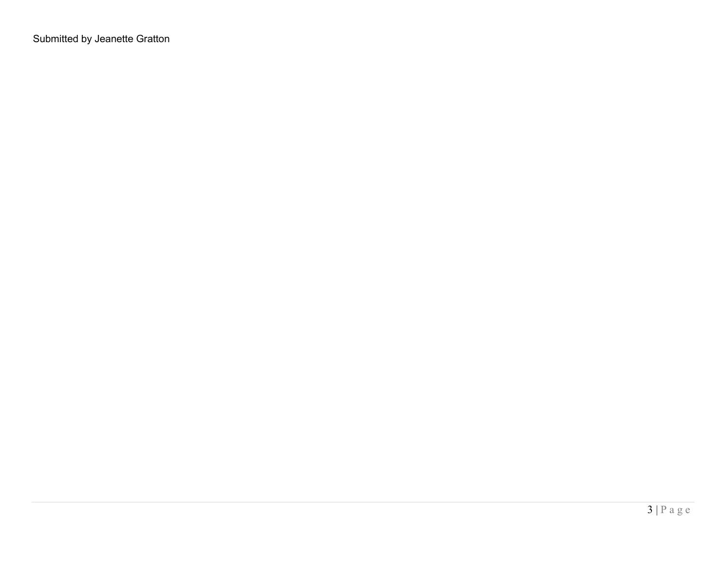Submitted by Jeanette Gratton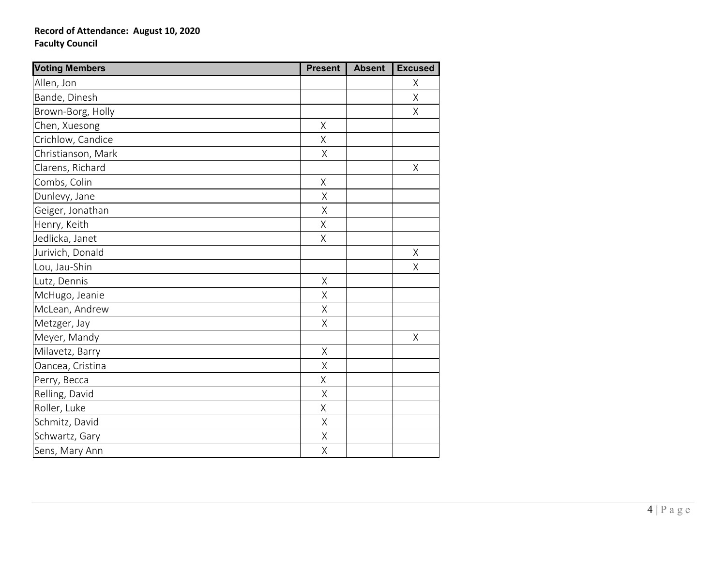## **Record of Attendance: August 10, 2020 Faculty Council**

| <b>Voting Members</b> | <b>Present</b> | <b>Absent</b> | <b>Excused</b> |
|-----------------------|----------------|---------------|----------------|
| Allen, Jon            |                |               | Χ              |
| Bande, Dinesh         |                |               | $\sf X$        |
| Brown-Borg, Holly     |                |               | Χ              |
| Chen, Xuesong         | $\mathsf X$    |               |                |
| Crichlow, Candice     | X              |               |                |
| Christianson, Mark    | Χ              |               |                |
| Clarens, Richard      |                |               | $\sf X$        |
| Combs, Colin          | $\mathsf X$    |               |                |
| Dunlevy, Jane         | $\sf X$        |               |                |
| Geiger, Jonathan      | $\sf X$        |               |                |
| Henry, Keith          | $\sf X$        |               |                |
| Jedlicka, Janet       | $\sf X$        |               |                |
| Jurivich, Donald      |                |               | Χ              |
| Lou, Jau-Shin         |                |               | $\overline{X}$ |
| Lutz, Dennis          | Χ              |               |                |
| McHugo, Jeanie        | $\sf X$        |               |                |
| McLean, Andrew        | X              |               |                |
| Metzger, Jay          | $\mathsf X$    |               |                |
| Meyer, Mandy          |                |               | $\overline{X}$ |
| Milavetz, Barry       | $\sf X$        |               |                |
| Oancea, Cristina      | Χ              |               |                |
| Perry, Becca          | $\sf X$        |               |                |
| Relling, David        | Χ              |               |                |
| Roller, Luke          | $\sf X$        |               |                |
| Schmitz, David        | $\sf X$        |               |                |
| Schwartz, Gary        | $\sf X$        |               |                |
| Sens, Mary Ann        | Χ              |               |                |